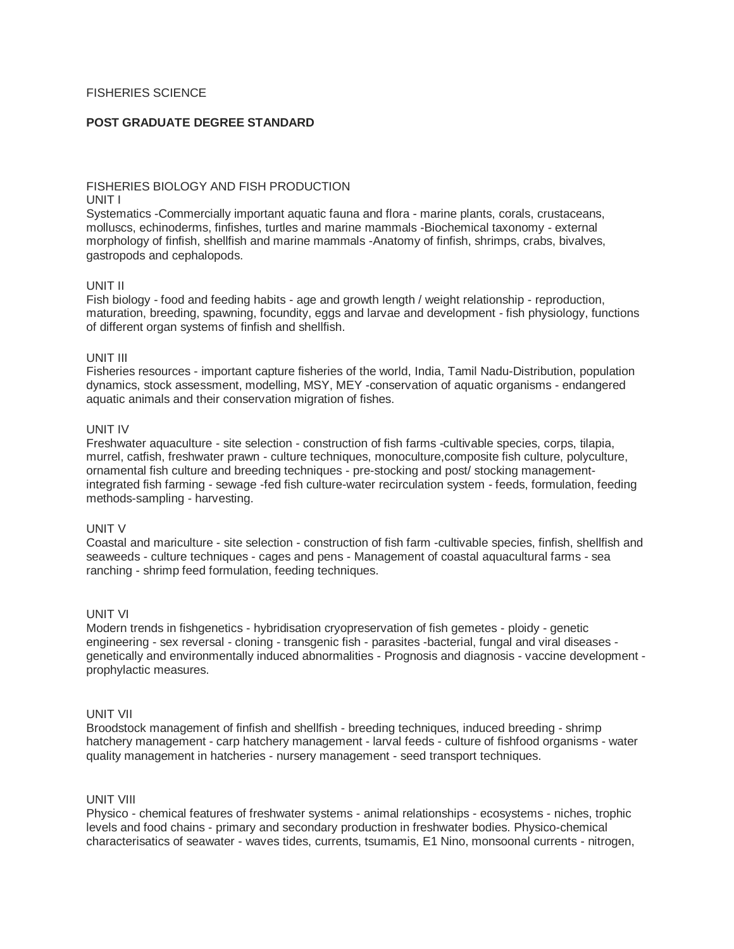## FISHERIES SCIENCE

### **POST GRADUATE DEGREE STANDARD**

#### FISHERIES BIOLOGY AND FISH PRODUCTION UNIT I

Systematics -Commercially important aquatic fauna and flora - marine plants, corals, crustaceans, molluscs, echinoderms, finfishes, turtles and marine mammals -Biochemical taxonomy - external morphology of finfish, shellfish and marine mammals -Anatomy of finfish, shrimps, crabs, bivalves, gastropods and cephalopods.

### UNIT II

Fish biology - food and feeding habits - age and growth length / weight relationship - reproduction, maturation, breeding, spawning, focundity, eggs and larvae and development - fish physiology, functions of different organ systems of finfish and shellfish.

### UNIT III

Fisheries resources - important capture fisheries of the world, India, Tamil Nadu-Distribution, population dynamics, stock assessment, modelling, MSY, MEY -conservation of aquatic organisms - endangered aquatic animals and their conservation migration of fishes.

### UNIT IV

Freshwater aquaculture - site selection - construction of fish farms -cultivable species, corps, tilapia, murrel, catfish, freshwater prawn - culture techniques, monoculture,composite fish culture, polyculture, ornamental fish culture and breeding techniques - pre-stocking and post/ stocking managementintegrated fish farming - sewage -fed fish culture-water recirculation system - feeds, formulation, feeding methods-sampling - harvesting.

## UNIT V

Coastal and mariculture - site selection - construction of fish farm -cultivable species, finfish, shellfish and seaweeds - culture techniques - cages and pens - Management of coastal aquacultural farms - sea ranching - shrimp feed formulation, feeding techniques.

### UNIT VI

Modern trends in fishgenetics - hybridisation cryopreservation of fish gemetes - ploidy - genetic engineering - sex reversal - cloning - transgenic fish - parasites -bacterial, fungal and viral diseases genetically and environmentally induced abnormalities - Prognosis and diagnosis - vaccine development prophylactic measures.

### UNIT VII

Broodstock management of finfish and shellfish - breeding techniques, induced breeding - shrimp hatchery management - carp hatchery management - larval feeds - culture of fishfood organisms - water quality management in hatcheries - nursery management - seed transport techniques.

### UNIT VIII

Physico - chemical features of freshwater systems - animal relationships - ecosystems - niches, trophic levels and food chains - primary and secondary production in freshwater bodies. Physico-chemical characterisatics of seawater - waves tides, currents, tsumamis, E1 Nino, monsoonal currents - nitrogen,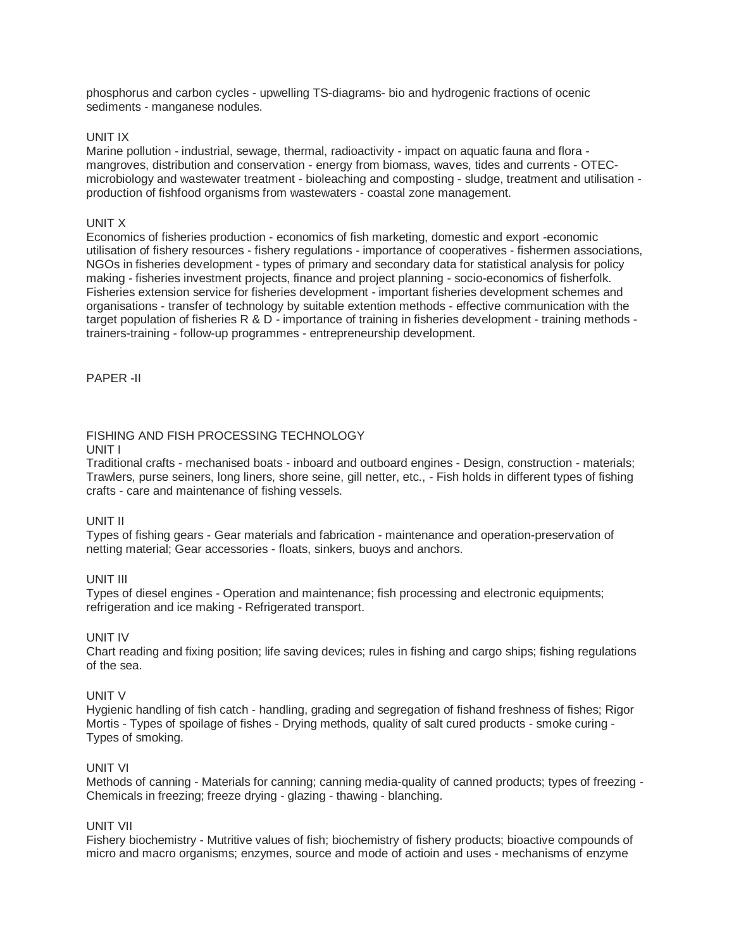phosphorus and carbon cycles - upwelling TS-diagrams- bio and hydrogenic fractions of ocenic sediments - manganese nodules.

## UNIT IX

Marine pollution - industrial, sewage, thermal, radioactivity - impact on aquatic fauna and flora mangroves, distribution and conservation - energy from biomass, waves, tides and currents - OTECmicrobiology and wastewater treatment - bioleaching and composting - sludge, treatment and utilisation production of fishfood organisms from wastewaters - coastal zone management.

## UNIT X

Economics of fisheries production - economics of fish marketing, domestic and export -economic utilisation of fishery resources - fishery regulations - importance of cooperatives - fishermen associations, NGOs in fisheries development - types of primary and secondary data for statistical analysis for policy making - fisheries investment projects, finance and project planning - socio-economics of fisherfolk. Fisheries extension service for fisheries development - important fisheries development schemes and organisations - transfer of technology by suitable extention methods - effective communication with the target population of fisheries R & D - importance of training in fisheries development - training methods trainers-training - follow-up programmes - entrepreneurship development.

PAPER -II

# FISHING AND FISH PROCESSING TECHNOLOGY

## UNIT I

Traditional crafts - mechanised boats - inboard and outboard engines - Design, construction - materials; Trawlers, purse seiners, long liners, shore seine, gill netter, etc., - Fish holds in different types of fishing crafts - care and maintenance of fishing vessels.

UNIT II

Types of fishing gears - Gear materials and fabrication - maintenance and operation-preservation of netting material; Gear accessories - floats, sinkers, buoys and anchors.

# UNIT III

Types of diesel engines - Operation and maintenance; fish processing and electronic equipments; refrigeration and ice making - Refrigerated transport.

# UNIT IV

Chart reading and fixing position; life saving devices; rules in fishing and cargo ships; fishing regulations of the sea.

# UNIT V

Hygienic handling of fish catch - handling, grading and segregation of fishand freshness of fishes; Rigor Mortis - Types of spoilage of fishes - Drying methods, quality of salt cured products - smoke curing - Types of smoking.

## UNIT VI

Methods of canning - Materials for canning; canning media-quality of canned products; types of freezing - Chemicals in freezing; freeze drying - glazing - thawing - blanching.

## UNIT VII

Fishery biochemistry - Mutritive values of fish; biochemistry of fishery products; bioactive compounds of micro and macro organisms; enzymes, source and mode of actioin and uses - mechanisms of enzyme